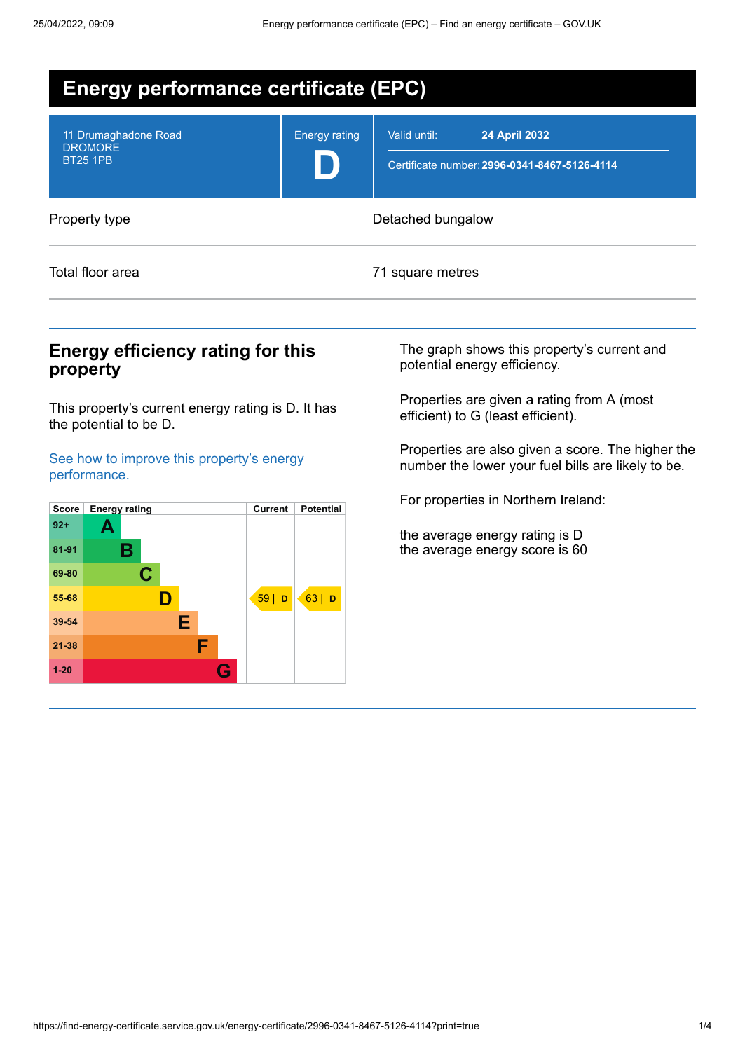

## **Energy efficiency rating for this property**

This property's current energy rating is D. It has the potential to be D.

See how to improve this property's energy [performance.](#page-2-0)



The graph shows this property's current and potential energy efficiency.

Properties are given a rating from A (most efficient) to G (least efficient).

Properties are also given a score. The higher the number the lower your fuel bills are likely to be.

For properties in Northern Ireland:

the average energy rating is D the average energy score is 60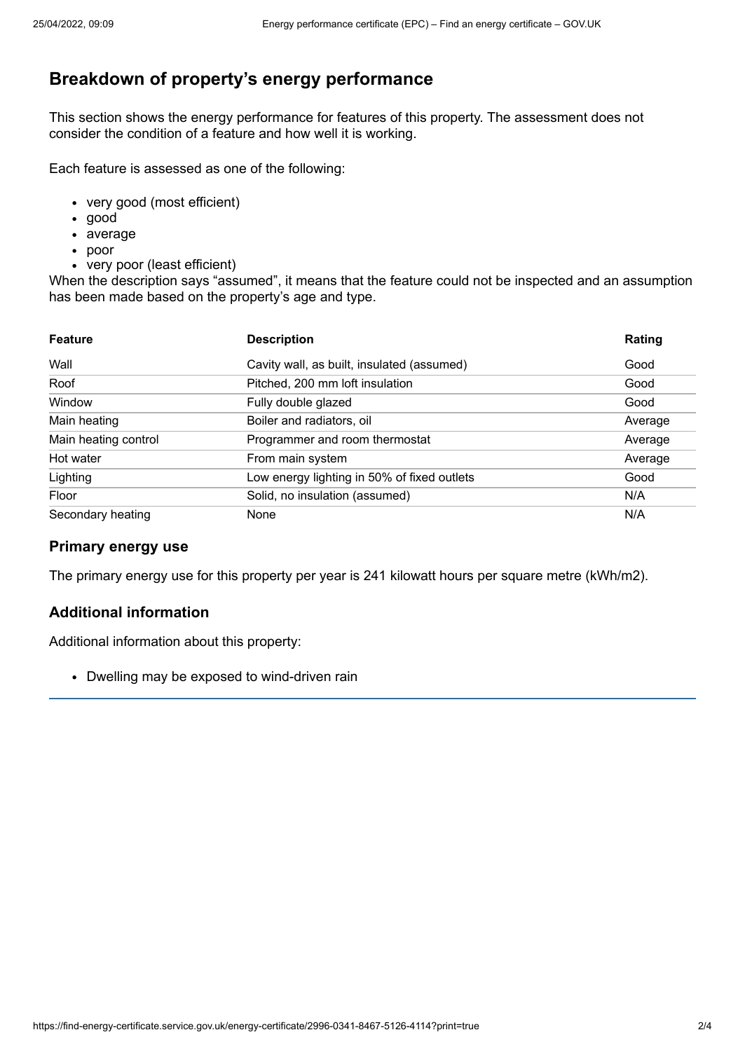# **Breakdown of property's energy performance**

This section shows the energy performance for features of this property. The assessment does not consider the condition of a feature and how well it is working.

Each feature is assessed as one of the following:

- very good (most efficient)
- good
- average
- poor
- very poor (least efficient)

When the description says "assumed", it means that the feature could not be inspected and an assumption has been made based on the property's age and type.

| <b>Feature</b>       | <b>Description</b>                          | Rating  |
|----------------------|---------------------------------------------|---------|
| Wall                 | Cavity wall, as built, insulated (assumed)  | Good    |
| Roof                 | Pitched, 200 mm loft insulation             | Good    |
| Window               | Fully double glazed                         | Good    |
| Main heating         | Boiler and radiators, oil                   | Average |
| Main heating control | Programmer and room thermostat              | Average |
| Hot water            | From main system                            | Average |
| Lighting             | Low energy lighting in 50% of fixed outlets | Good    |
| Floor                | Solid, no insulation (assumed)              | N/A     |
| Secondary heating    | None                                        | N/A     |

### **Primary energy use**

The primary energy use for this property per year is 241 kilowatt hours per square metre (kWh/m2).

### **Additional information**

Additional information about this property:

• Dwelling may be exposed to wind-driven rain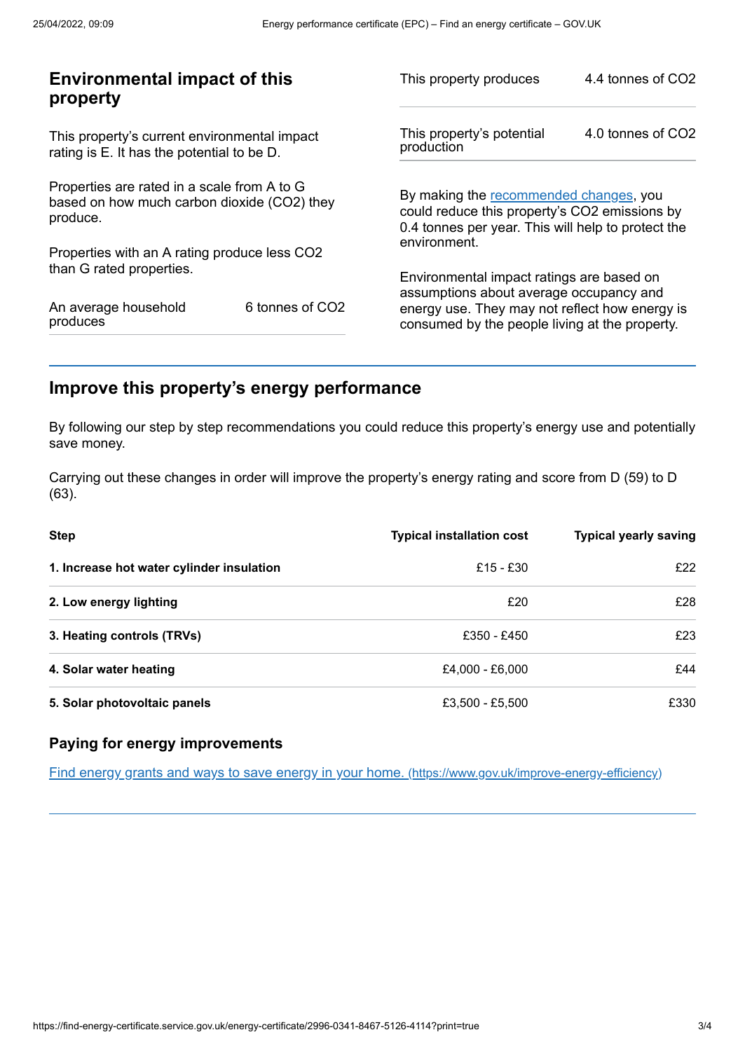| This property's potential<br>production                                                                                                       | 4.0 tonnes of CO2                                       |
|-----------------------------------------------------------------------------------------------------------------------------------------------|---------------------------------------------------------|
|                                                                                                                                               |                                                         |
| By making the recommended changes, you<br>could reduce this property's CO2 emissions by<br>0.4 tonnes per year. This will help to protect the |                                                         |
|                                                                                                                                               |                                                         |
| Environmental impact ratings are based on                                                                                                     |                                                         |
| energy use. They may not reflect how energy is<br>consumed by the people living at the property.                                              |                                                         |
|                                                                                                                                               | environment.<br>assumptions about average occupancy and |

# <span id="page-2-0"></span>**Improve this property's energy performance**

By following our step by step recommendations you could reduce this property's energy use and potentially save money.

Carrying out these changes in order will improve the property's energy rating and score from D (59) to D (63).

| <b>Step</b>                               | <b>Typical installation cost</b> | <b>Typical yearly saving</b> |
|-------------------------------------------|----------------------------------|------------------------------|
| 1. Increase hot water cylinder insulation | £15 - £30                        | f22                          |
| 2. Low energy lighting                    | £20                              | £28                          |
| 3. Heating controls (TRVs)                | £350 - £450                      | £23                          |
| 4. Solar water heating                    | £4,000 - £6,000                  | £44                          |
| 5. Solar photovoltaic panels              | £3,500 - £5,500                  | £330                         |

### **Paying for energy improvements**

Find energy grants and ways to save energy in your home. [\(https://www.gov.uk/improve-energy-efficiency\)](https://www.gov.uk/improve-energy-efficiency)